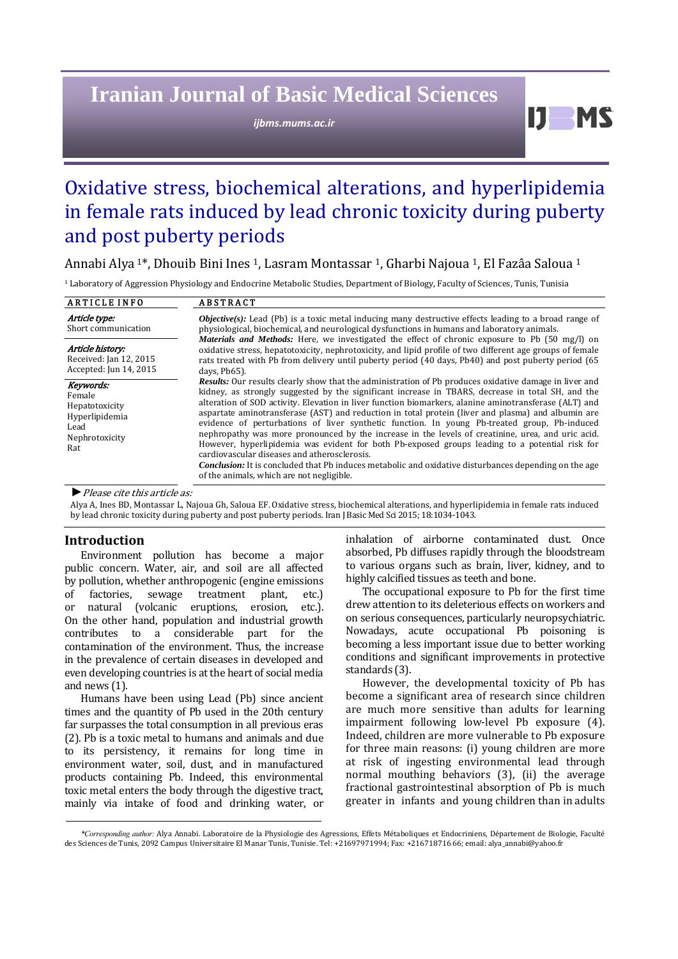# **Iranian Journal of Basic Medical Sciences**

*ijbms.mums.ac.ir*

D.

# Oxidative stress, biochemical alterations, and hyperlipidemia in female rats induced by lead chronic toxicity during puberty and post puberty periods

Annabi Alya<sup>1\*</sup>, Dhouib Bini Ines<sup>1</sup>, Lasram Montassar<sup>1</sup>, Gharbi Najoua<sup>1</sup>, El Fazâa Saloua<sup>1</sup>

<sup>1</sup> Laboratory of Aggression Physiology and Endocrine Metabolic Studies, Department of Biology, Faculty of Sciences, Tunis, Tunisia

| <b>ARTICLE INFO</b>                                                                      | <b>ABSTRACT</b>                                                                                                                                                                                                                                                                                                                                                                                                                                                                                                                                                                                                                                                                                                                                                                                                                                                                                                                                        |
|------------------------------------------------------------------------------------------|--------------------------------------------------------------------------------------------------------------------------------------------------------------------------------------------------------------------------------------------------------------------------------------------------------------------------------------------------------------------------------------------------------------------------------------------------------------------------------------------------------------------------------------------------------------------------------------------------------------------------------------------------------------------------------------------------------------------------------------------------------------------------------------------------------------------------------------------------------------------------------------------------------------------------------------------------------|
| Article type:<br>Short communication                                                     | <b><i>Objective(s)</i></b> : Lead (Pb) is a toxic metal inducing many destructive effects leading to a broad range of<br>physiological, biochemical, and neurological dysfunctions in humans and laboratory animals.                                                                                                                                                                                                                                                                                                                                                                                                                                                                                                                                                                                                                                                                                                                                   |
| Article history:<br>Received: Jan 12, 2015<br>Accepted: Jun 14, 2015                     | Materials and Methods: Here, we investigated the effect of chronic exposure to Pb (50 mg/l) on<br>oxidative stress, hepatotoxicity, nephrotoxicity, and lipid profile of two different age groups of female<br>rats treated with Pb from delivery until puberty period (40 days, Pb40) and post puberty period (65<br>days, Pb65).                                                                                                                                                                                                                                                                                                                                                                                                                                                                                                                                                                                                                     |
| Keywords:<br>Female<br>Hepatotoxicity<br>Hyperlipidemia<br>Lead<br>Nephrotoxicity<br>Rat | <b>Results:</b> Our results clearly show that the administration of Pb produces oxidative damage in liver and<br>kidney, as strongly suggested by the significant increase in TBARS, decrease in total SH, and the<br>alteration of SOD activity. Elevation in liver function biomarkers, alanine aminotransferase (ALT) and<br>aspartate aminotransferase (AST) and reduction in total protein (liver and plasma) and albumin are<br>evidence of perturbations of liver synthetic function. In young Pb-treated group, Pb-induced<br>nephropathy was more pronounced by the increase in the levels of creatinine, urea, and uric acid.<br>However, hyperlipidemia was evident for both Pb-exposed groups leading to a potential risk for<br>cardiovascular diseases and atherosclerosis.<br><b>Conclusion:</b> It is concluded that Pb induces metabolic and oxidative disturbances depending on the age<br>of the animals, which are not negligible. |

▶ *Please cite this article as:* 

Alya A, Ines BD, Montassar L, Najoua Gh, Saloua EF. Oxidative stress, biochemical alterations, and hyperlipidemia in female rats induced by lead chronic toxicity during puberty and post puberty periods. Iran J Basic Med Sci 2015; 18:1034-1043.

# **Introduction**

Environment pollution has become a major public concern. Water, air, and soil are all affected by pollution, whether anthropogenic (engine emissions of factories, sewage treatment plant, etc.) or natural (volcanic eruptions, erosion, etc.). On the other hand, population and industrial growth contributes to a considerable part for the contamination of the environment. Thus, the increase in the prevalence of certain diseases in developed and even developing countries is at the heart of social media and news  $(1)$ .

Humans have been using Lead (Pb) since ancient times and the quantity of Pb used in the 20th century far surpasses the total consumption in all previous eras (2). Pb is a toxic metal to humans and animals and due to its persistency, it remains for long time in environment water, soil, dust, and in manufactured products containing Pb. Indeed, this environmental toxic metal enters the body through the digestive tract, mainly via intake of food and drinking water, or inhalation of airborne contaminated dust. Once absorbed, Pb diffuses rapidly through the bloodstream to various organs such as brain, liver, kidney, and to highly calcified tissues as teeth and bone.

The occupational exposure to Pb for the first time drew attention to its deleterious effects on workers and on serious consequences, particularly neuropsychiatric. Nowadays, acute occupational Pb poisoning is becoming a less important issue due to better working conditions and significant improvements in protective standards (3).

However, the developmental toxicity of Pb has become a significant area of research since children are much more sensitive than adults for learning impairment following low-level Pb exposure (4). Indeed, children are more vulnerable to Pb exposure for three main reasons: (i) young children are more at risk of ingesting environmental lead through normal mouthing behaviors (3), (ii) the average fractional gastrointestinal absorption of Pb is much greater in infants and young children than in adults

<sup>\*</sup>Corresponding author: Alya Annabi. Laboratoire de la Physiologie des Agressions, Effets Métaboliques et Endocriniens, Département de Biologie, Faculté des Sciences de Tunis, 2092 Campus Universitaire El Manar Tunis, Tunisie. Tel: +21697971994; Fax: +216718716 66; email: alya\_annabi@yahoo.fr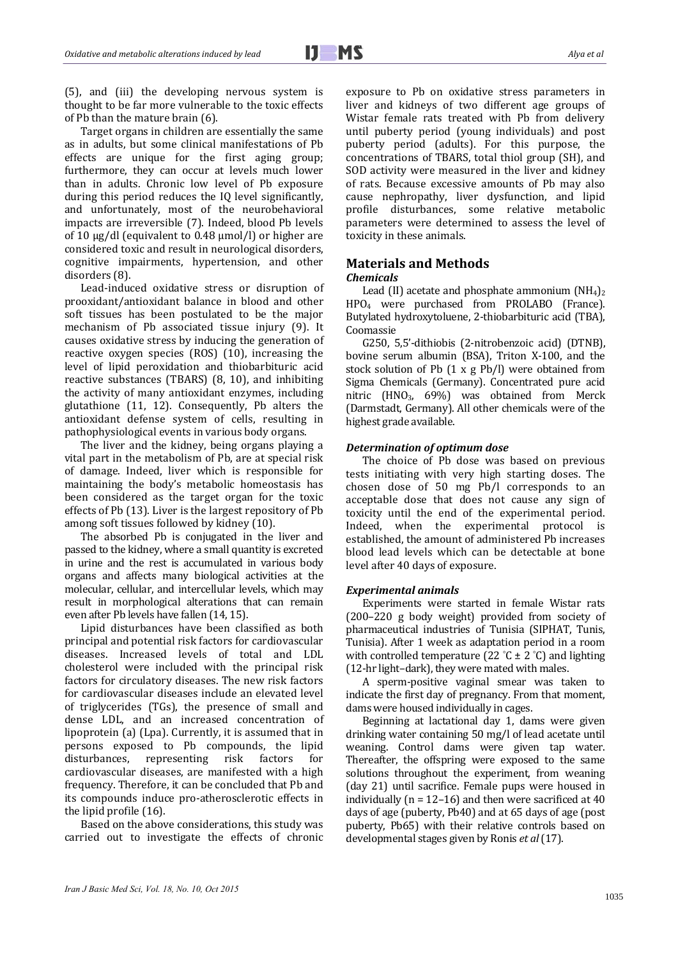(5), and (iii) the developing nervous system is thought to be far more vulnerable to the toxic effects of Pb than the mature brain  $(6)$ .

Target organs in children are essentially the same as in adults, but some clinical manifestations of Pb effects are unique for the first aging group; furthermore, they can occur at levels much lower than in adults. Chronic low level of Pb exposure during this period reduces the IQ level significantly, and unfortunately, most of the neurobehavioral impacts are irreversible (7). Indeed, blood Pb levels of 10  $\mu$ g/dl (equivalent to 0.48  $\mu$ mol/l) or higher are considered toxic and result in neurological disorders, cognitive impairments, hypertension, and other disorders (8).

Lead-induced oxidative stress or disruption of prooxidant/antioxidant balance in blood and other soft tissues has been postulated to be the major mechanism of Pb associated tissue injury (9). It causes oxidative stress by inducing the generation of reactive oxygen species  $(ROS)$   $(10)$ , increasing the level of lipid peroxidation and thiobarbituric acid reactive substances (TBARS)  $(8, 10)$ , and inhibiting the activity of many antioxidant enzymes, including glutathione  $(11, 12)$ . Consequently, Pb alters the antioxidant defense system of cells, resulting in pathophysiological events in various body organs.

The liver and the kidney, being organs playing a vital part in the metabolism of Pb, are at special risk of damage. Indeed, liver which is responsible for maintaining the body's metabolic homeostasis has been considered as the target organ for the toxic effects of Pb  $(13)$ . Liver is the largest repository of Pb among soft tissues followed by kidney (10).

The absorbed Pb is conjugated in the liver and passed to the kidney, where a small quantity is excreted in urine and the rest is accumulated in various body organs and affects many biological activities at the molecular, cellular, and intercellular levels, which may result in morphological alterations that can remain even after Pb levels have fallen (14, 15).

Lipid disturbances have been classified as both principal and potential risk factors for cardiovascular diseases. Increased levels of total and LDL cholesterol were included with the principal risk factors for circulatory diseases. The new risk factors for cardiovascular diseases include an elevated level of triglycerides (TGs), the presence of small and dense LDL, and an increased concentration of lipoprotein  $(a)$  (Lpa). Currently, it is assumed that in persons exposed to Pb compounds, the lipid disturbances, representing risk factors for cardiovascular diseases, are manifested with a high frequency. Therefore, it can be concluded that Pb and its compounds induce pro-atherosclerotic effects in the lipid profile (16).

Based on the above considerations, this study was carried out to investigate the effects of chronic exposure to Pb on oxidative stress parameters in liver and kidneys of two different age groups of Wistar female rats treated with Pb from delivery until puberty period (young individuals) and post puberty period (adults). For this purpose, the concentrations of TBARS, total thiol group (SH), and SOD activity were measured in the liver and kidney of rats. Because excessive amounts of Pb may also cause nephropathy, liver dysfunction, and lipid profile disturbances, some relative metabolic parameters were determined to assess the level of toxicity in these animals.

# **Materials and Methods**

#### *Chemicals*

Lead (II) acetate and phosphate ammonium  $(NH_4)_2$ HPO<sub>4</sub> were purchased from PROLABO (France). Butylated hydroxytoluene, 2-thiobarbituric acid (TBA), Coomassie 

G250, 5,5'-dithiobis (2-nitrobenzoic acid) (DTNB), bovine serum albumin (BSA), Triton X-100, and the stock solution of Pb  $(1 \times g$  Pb/l) were obtained from Sigma Chemicals (Germany). Concentrated pure acid nitric  $(HNO<sub>3</sub>, 69%)$  was obtained from Merck (Darmstadt, Germany). All other chemicals were of the highest grade available.

## *Determination of optimum dose*

The choice of Pb dose was based on previous tests initiating with very high starting doses. The chosen dose of  $50$  mg  $Pb/l$  corresponds to an acceptable dose that does not cause any sign of toxicity until the end of the experimental period. Indeed, when the experimental protocol is established, the amount of administered Pb increases blood lead levels which can be detectable at bone level after 40 days of exposure.

#### *Experimental animals*

Experiments were started in female Wistar rats (200–220 g body weight) provided from society of pharmaceutical industries of Tunisia (SIPHAT, Tunis, Tunisia). After 1 week as adaptation period in a room with controlled temperature (22 °C  $\pm$  2 °C) and lighting  $(12-hr$  light–dark), they were mated with males.

A sperm-positive vaginal smear was taken to indicate the first day of pregnancy. From that moment, dams were housed individually in cages.

Beginning at lactational day 1, dams were given drinking water containing 50 mg/l of lead acetate until weaning. Control dams were given tap water. Thereafter, the offspring were exposed to the same solutions throughout the experiment, from weaning (day 21) until sacrifice. Female pups were housed in individually ( $n = 12-16$ ) and then were sacrificed at 40 days of age (puberty, Pb40) and at 65 days of age (post puberty, Pb65) with their relative controls based on developmental stages given by Ronis *et al* (17).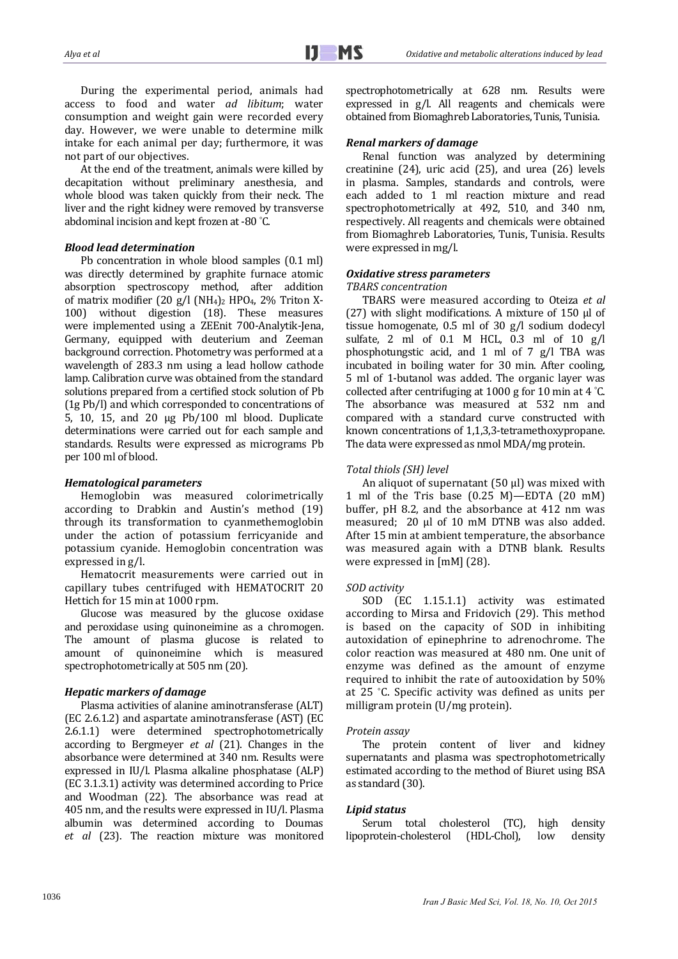During the experimental period, animals had access to food and water *ad libitum*; water consumption and weight gain were recorded every day. However, we were unable to determine milk intake for each animal per day; furthermore, it was not part of our objectives.

At the end of the treatment, animals were killed by decapitation without preliminary anesthesia, and whole blood was taken quickly from their neck. The liver and the right kidney were removed by transverse abdominal incision and kept frozen at -80 $^{\circ}$ C.

## *Blood lead determination*

Pb concentration in whole blood samples  $(0.1$  ml) was directly determined by graphite furnace atomic absorption spectroscopy method, after addition of matrix modifier  $(20 \text{ g/l} (\text{NH}_4)_2 \text{ HPO}_4, 2\% \text{ Triton X}$ -100) without digestion (18). These measures were implemented using a ZEEnit 700-Analytik-Jena, Germany, equipped with deuterium and Zeeman background correction. Photometry was performed at a wavelength of 283.3 nm using a lead hollow cathode lamp. Calibration curve was obtained from the standard solutions prepared from a certified stock solution of Pb (1g Pb/l) and which corresponded to concentrations of 5, 10, 15, and 20  $\mu$ g Pb/100 ml blood. Duplicate determinations were carried out for each sample and standards. Results were expressed as micrograms Pb per 100 ml of blood.

### *Hematological parameters*

Hemoglobin was measured colorimetrically according to Drabkin and Austin's method (19) through its transformation to cyanmethemoglobin under the action of potassium ferricyanide and potassium cyanide. Hemoglobin concentration was expressed in  $g/l$ .

Hematocrit measurements were carried out in capillary tubes centrifuged with HEMATOCRIT 20 Hettich for 15 min at 1000 rpm.

Glucose was measured by the glucose oxidase and peroxidase using quinoneimine as a chromogen. The amount of plasma glucose is related to amount of quinoneimine which is measured spectrophotometrically at 505 nm (20).

## *Hepatic markers of damage*

Plasma activities of alanine aminotransferase (ALT) (EC 2.6.1.2) and aspartate aminotransferase (AST) (EC 2.6.1.1) were determined spectrophotometrically according to Bergmeyer *et al* (21). Changes in the absorbance were determined at 340 nm. Results were expressed in IU/l. Plasma alkaline phosphatase (ALP) (EC 3.1.3.1) activity was determined according to Price and Woodman (22). The absorbance was read at 405 nm, and the results were expressed in IU/l. Plasma albumin was determined according to Doumas et al (23). The reaction mixture was monitored spectrophotometrically at 628 nm. Results were expressed in  $g/l$ . All reagents and chemicals were obtained from Biomaghreb Laboratories, Tunis, Tunisia.

### *Renal markers of damage*

Renal function was analyzed by determining creatinine  $(24)$ , uric acid  $(25)$ , and urea  $(26)$  levels in plasma. Samples, standards and controls, were each added to 1 ml reaction mixture and read spectrophotometrically at 492, 510, and 340 nm, respectively. All reagents and chemicals were obtained from Biomaghreb Laboratories, Tunis, Tunisia. Results were expressed in mg/l.

#### *Oxidative stress parameters*

#### *TBARS concentration*

TBARS were measured according to Oteiza *et al* (27) with slight modifications. A mixture of  $150 \mu$  of tissue homogenate,  $0.5$  ml of  $30$  g/l sodium dodecyl sulfate, 2 ml of  $0.1$  M HCL,  $0.3$  ml of  $10$  g/l phosphotungstic acid, and 1 ml of 7  $g/l$  TBA was incubated in boiling water for 30 min. After cooling, 5 ml of 1-butanol was added. The organic layer was collected after centrifuging at 1000 g for 10 min at 4  $°C$ . The absorbance was measured at 532 nm and compared with a standard curve constructed with known concentrations of 1,1,3,3-tetramethoxypropane. The data were expressed as nmol MDA/mg protein.

## *Total thiols (SH) level*

An aliquot of supernatant  $(50 \text{ µ})$  was mixed with 1 ml of the Tris base  $(0.25 \text{ M})$ —EDTA  $(20 \text{ mM})$ buffer, pH 8.2, and the absorbance at 412 nm was measured;  $20 \mu l$  of  $10 \mu M$  DTNB was also added. After 15 min at ambient temperature, the absorbance was measured again with a DTNB blank. Results were expressed in  $[mM]$  (28).

## *SOD activity*

SOD (EC 1.15.1.1) activity was estimated according to Mirsa and Fridovich (29). This method is based on the capacity of SOD in inhibiting autoxidation of epinephrine to adrenochrome. The color reaction was measured at 480 nm. One unit of enzyme was defined as the amount of enzyme required to inhibit the rate of autooxidation by 50% at 25 °C. Specific activity was defined as units per milligram protein  $(U/mg$  protein).

#### *Protein assay*

The protein content of liver and kidney supernatants and plasma was spectrophotometrically estimated according to the method of Biuret using BSA as standard (30).

## *Lipid status*

Serum total cholesterol (TC), high density lipoprotein‐cholesterol (HDL‐Chol), low density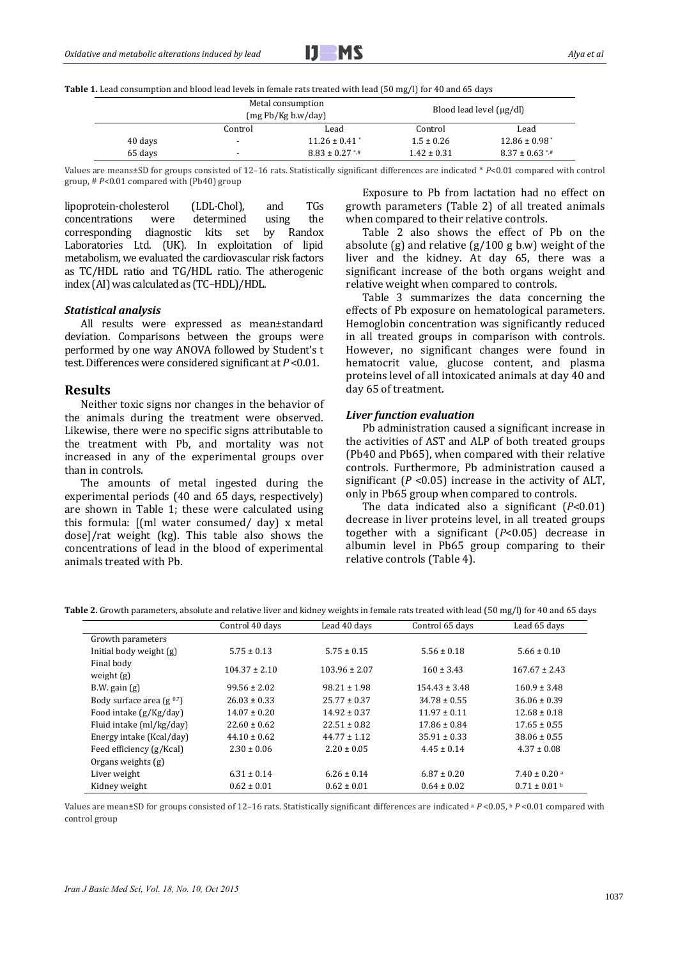

**Table 1.** Lead consumption and blood lead levels in female rats treated with lead (50 mg/l) for 40 and 65 days

|         | Metal consumption<br>(mg Pb/Kg b.w/day) |                               |                 | Blood lead level $(\mu g/dl)$   |
|---------|-----------------------------------------|-------------------------------|-----------------|---------------------------------|
|         | Control                                 | Lead                          | Control         | Lead                            |
| 40 days |                                         | $11.26 \pm 0.41$ <sup>*</sup> | $1.5 \pm 0.26$  | $12.86 \pm 0.98$ <sup>*</sup>   |
| 65 days |                                         | $8.83 \pm 0.27$ */*           | $1.42 \pm 0.31$ | $8.37 \pm 0.63$ <sup>*</sup> /* |

Values are means±SD for groups consisted of 12–16 rats. Statistically significant differences are indicated \* *P*<0.01 compared with control group, #  $P$ <0.01 compared with (Pb40) group

lipoprotein-cholesterol (LDL-Chol), and TGs concentrations were determined using the corresponding diagnostic kits set by Randox Laboratories Ltd. (UK). In exploitation of lipid metabolism, we evaluated the cardiovascular risk factors as TC/HDL ratio and TG/HDL ratio. The atherogenic index (AI) was calculated as (TC-HDL)/HDL.

#### *Statistical analysis*

All results were expressed as mean±standard deviation. Comparisons between the groups were performed by one way ANOVA followed by Student's t test. Differences were considered significant at  $P \le 0.01$ .

#### **Results**

Neither toxic signs nor changes in the behavior of the animals during the treatment were observed. Likewise, there were no specific signs attributable to the treatment with Pb, and mortality was not increased in any of the experimental groups over than in controls.

The amounts of metal ingested during the experimental periods (40 and 65 days, respectively) are shown in Table 1; these were calculated using this formula:  $[(ml water consumed / day) x metal$  $dose$ ]/rat weight (kg). This table also shows the concentrations of lead in the blood of experimental animals treated with Pb.

Exposure to Pb from lactation had no effect on growth parameters (Table 2) of all treated animals when compared to their relative controls.

Table 2 also shows the effect of Pb on the absolute  $(g)$  and relative  $(g/100\ g\ b.w)$  weight of the liver and the kidney. At day 65, there was a significant increase of the both organs weight and relative weight when compared to controls.

Table 3 summarizes the data concerning the effects of Pb exposure on hematological parameters. Hemoglobin concentration was significantly reduced in all treated groups in comparison with controls. However, no significant changes were found in hematocrit value, glucose content, and plasma proteins level of all intoxicated animals at day 40 and day 65 of treatment.

#### *Liver function evaluation*

Pb administration caused a significant increase in the activities of AST and ALP of both treated groups (Pb40 and Pb65), when compared with their relative controls. Furthermore, Pb administration caused a significant  $(P \le 0.05)$  increase in the activity of ALT, only in Pb65 group when compared to controls.

The data indicated also a significant  $(P<0.01)$ decrease in liver proteins level, in all treated groups together with a significant  $(P<0.05)$  decrease in albumin level in Pb65 group comparing to their relative controls (Table 4).

|                               | Control 40 days   | Lead 40 days      | Control 65 days   | Lead 65 days                 |
|-------------------------------|-------------------|-------------------|-------------------|------------------------------|
| Growth parameters             |                   |                   |                   |                              |
| Initial body weight (g)       | $5.75 \pm 0.13$   | $5.75 \pm 0.15$   | $5.56 \pm 0.18$   | $5.66 \pm 0.10$              |
| Final body<br>weight $(g)$    | $104.37 \pm 2.10$ | $103.96 \pm 2.07$ | $160 \pm 3.43$    | $167.67 \pm 2.43$            |
| $B.W.$ gain $(g)$             | $99.56 \pm 2.02$  | $98.21 \pm 1.98$  | $154.43 \pm 3.48$ | $160.9 \pm 3.48$             |
| Body surface area $(g^{0.7})$ | $26.03 \pm 0.33$  | $25.77 \pm 0.37$  | $34.78 \pm 0.55$  | $36.06 \pm 0.39$             |
| Food intake (g/Kg/day)        | $14.07 \pm 0.20$  | $14.92 \pm 0.37$  | $11.97 \pm 0.11$  | $12.68 \pm 0.18$             |
| Fluid intake (ml/kg/day)      | $22.60 \pm 0.62$  | $22.51 \pm 0.82$  | $17.86 \pm 0.84$  | $17.65 \pm 0.55$             |
| Energy intake (Kcal/day)      | $44.10 \pm 0.62$  | $44.77 \pm 1.12$  | $35.91 \pm 0.33$  | $38.06 \pm 0.55$             |
| Feed efficiency (g/Kcal)      | $2.30 \pm 0.06$   | $2.20 \pm 0.05$   | $4.45 \pm 0.14$   | $4.37 \pm 0.08$              |
| Organs weights (g)            |                   |                   |                   |                              |
| Liver weight                  | $6.31 \pm 0.14$   | $6.26 \pm 0.14$   | $6.87 \pm 0.20$   | $7.40 \pm 0.20$ <sup>a</sup> |
| Kidney weight                 | $0.62 \pm 0.01$   | $0.62 \pm 0.01$   | $0.64 \pm 0.02$   | $0.71 \pm 0.01$ b            |

Table 2. Growth parameters, absolute and relative liver and kidney weights in female rats treated with lead (50 mg/l) for 40 and 65 days

Values are mean±SD for groups consisted of 12–16 rats. Statistically significant differences are indicated  $^a P$  <0.05,  $^b P$  <0.01 compared with control group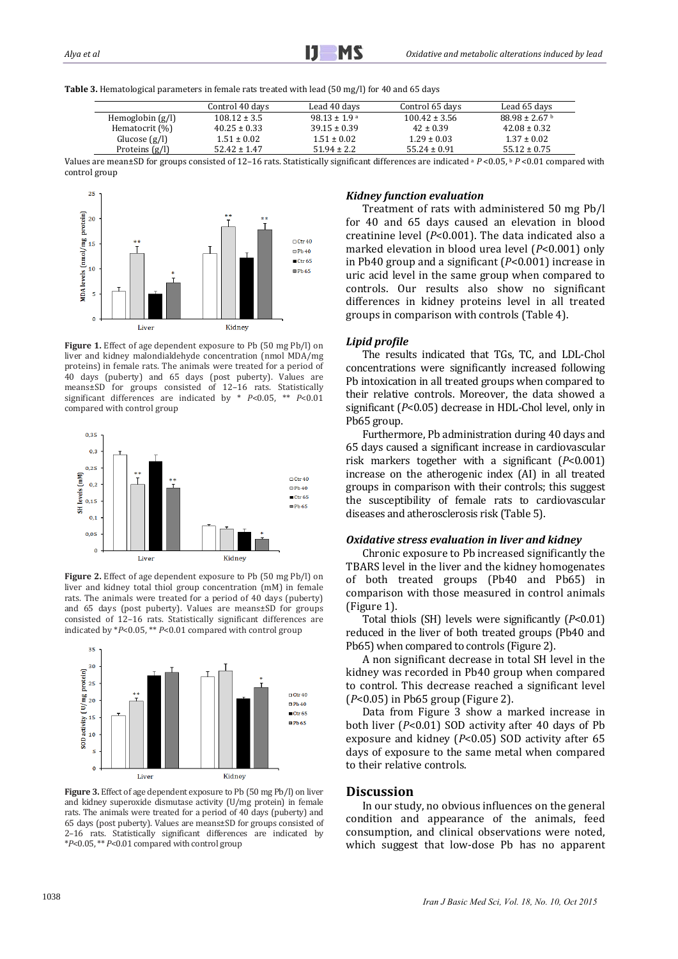

Table 3. Hematological parameters in female rats treated with lead (50 mg/l) for 40 and 65 days

|                    | Control 40 davs  | Lead 40 davs      | Control 65 days   | Lead 65 davs       |
|--------------------|------------------|-------------------|-------------------|--------------------|
| Hemoglobin $(g/l)$ | $108.12 \pm 3.5$ | $98.13 \pm 1.9$ a | $100.42 \pm 3.56$ | $88.98 \pm 2.67$ b |
| Hematocrit (%)     | $40.25 \pm 0.33$ | $39.15 \pm 0.39$  | $42 \pm 0.39$     | $42.08 \pm 0.32$   |
| Glucose $(g/l)$    | $1.51 \pm 0.02$  | $1.51 \pm 0.02$   | $1.29 \pm 0.03$   | $1.37 \pm 0.02$    |
| Proteins $(g/l)$   | $52.42 \pm 1.47$ | $51.94 + 2.2$     | $55.24 \pm 0.91$  | $55.12 \pm 0.75$   |

Values are mean±SD for groups consisted of 12-16 rats. Statistically significant differences are indicated <sup>a</sup> *P* <0.05, <sup>b</sup> *P* <0.01 compared with control group



**Figure 1.** Effect of age dependent exposure to Pb (50 mg Pb/l) on liver and kidney malondialdehyde concentration  $\lim_{n \to \infty}$  MDA/mg proteins) in female rats. The animals were treated for a period of 40 days (puberty) and 65 days (post puberty). Values are means±SD for groups consisted of 12–16 rats. Statistically significant differences are indicated by  $* P<0.05$ ,  $** P<0.01$ compared with control group



**Figure 2.** Effect of age dependent exposure to Pb (50 mg Pb/l) on liver and kidney total thiol group concentration (mM) in female rats. The animals were treated for a period of 40 days (puberty) and  $65$  days (post puberty). Values are means $\pm$ SD for groups consisted of 12-16 rats. Statistically significant differences are indicated by  $*P<0.05$ ,  $*P<0.01$  compared with control group



**Figure** 3. Effect of age dependent exposure to Pb (50 mg Pb/l) on liver and kidney superoxide dismutase activity (U/mg protein) in female rats. The animals were treated for a period of 40 days (puberty) and 65 days (post puberty). Values are means±SD for groups consisted of 2-16 rats. Statistically significant differences are indicated by \**P*<0.05, \*\* *P*<0.01 compared with control group 

## *Kidney function evaluation*

Treatment of rats with administered 50 mg Pb/l for 40 and 65 days caused an elevation in blood creatinine level  $(P<0.001)$ . The data indicated also a marked elevation in blood urea level (*P*<0.001) only in Pb40 group and a significant  $(P< 0.001)$  increase in uric acid level in the same group when compared to controls. Our results also show no significant differences in kidney proteins level in all treated groups in comparison with controls (Table 4).

#### *Lipid profile*

The results indicated that TGs, TC, and LDL-Chol concentrations were significantly increased following Pb intoxication in all treated groups when compared to their relative controls. Moreover, the data showed a significant (*P*<0.05) decrease in HDL-Chol level, only in Pb65 group.

Furthermore, Pb administration during 40 days and 65 days caused a significant increase in cardiovascular risk markers together with a significant  $(P<0.001)$ increase on the atherogenic index (AI) in all treated groups in comparison with their controls; this suggest the susceptibility of female rats to cardiovascular diseases and atherosclerosis risk (Table 5).

#### *Oxidative stress evaluation in liver and kidney*

Chronic exposure to Pb increased significantly the TBARS level in the liver and the kidney homogenates of both treated groups (Pb40 and Pb65) in comparison with those measured in control animals (Figure 1).

Total thiols (SH) levels were significantly (*P*<0.01) reduced in the liver of both treated groups (Pb40 and Pb65) when compared to controls (Figure 2).

A non significant decrease in total SH level in the kidney was recorded in Pb40 group when compared to control. This decrease reached a significant level  $(P<0.05)$  in Pb65 group (Figure 2).

Data from Figure 3 show a marked increase in both liver (*P*<0.01) SOD activity after 40 days of Pb exposure and kidney  $(P<0.05)$  SOD activity after  $65$ days of exposure to the same metal when compared to their relative controls.

#### **Discussion**

In our study, no obvious influences on the general condition and appearance of the animals, feed consumption, and clinical observations were noted, which suggest that low-dose Pb has no apparent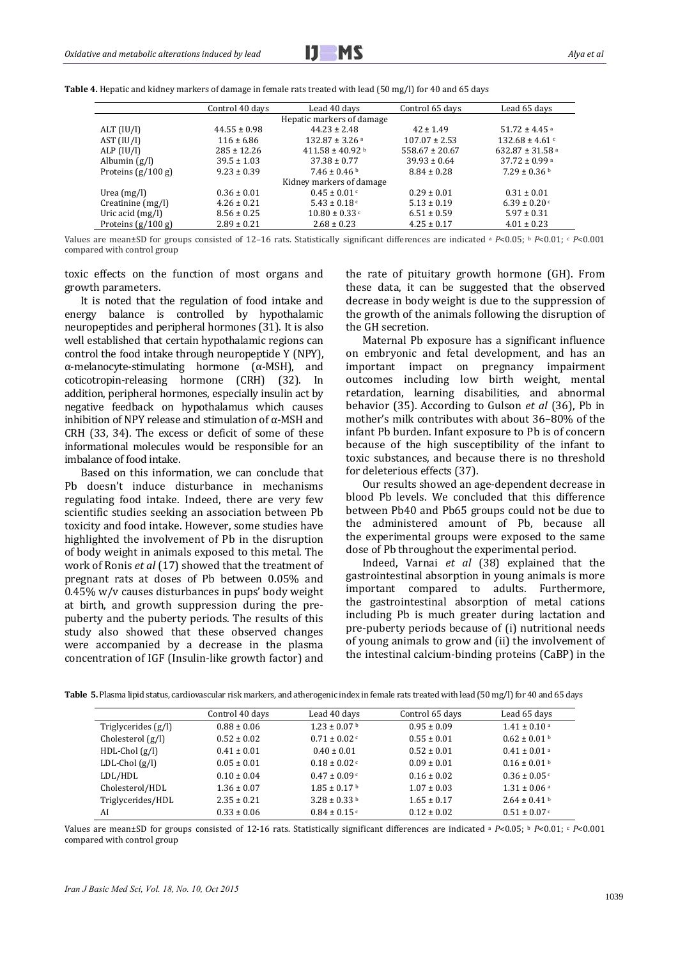

|                      | Control 40 days  | Lead 40 days                   | Control 65 days    | Lead 65 days                  |
|----------------------|------------------|--------------------------------|--------------------|-------------------------------|
|                      |                  | Hepatic markers of damage      |                    |                               |
| ALT (IU/I)           | $44.55 \pm 0.98$ | $44.23 \pm 2.48$               | $42 \pm 1.49$      | $51.72 \pm 4.45$ <sup>a</sup> |
| AST (IU/I)           | $116 \pm 6.86$   | $132.87 \pm 3.26$ <sup>a</sup> | $107.07 \pm 2.53$  | $132.68 \pm 4.61$             |
| ALP (IU/I)           | $285 \pm 12.26$  | $411.58 \pm 40.92$ b           | $558.67 \pm 20.67$ | 632.87 ± 31.58 a              |
| Albumin $(g/l)$      | $39.5 \pm 1.03$  | $37.38 \pm 0.77$               | $39.93 \pm 0.64$   | $37.72 \pm 0.99$ <sup>a</sup> |
| Proteins $(g/100 g)$ | $9.23 \pm 0.39$  | $7.46 \pm 0.46$ b              | $8.84 \pm 0.28$    | $7.29 \pm 0.36$ b             |
|                      |                  | Kidney markers of damage       |                    |                               |
| Urea $(mg/l)$        | $0.36 \pm 0.01$  | $0.45 \pm 0.01$ c              | $0.29 \pm 0.01$    | $0.31 \pm 0.01$               |
| Creatinine (mg/l)    | $4.26 \pm 0.21$  | 5.43 ± 0.18 $\degree$          | $5.13 \pm 0.19$    | $6.39 \pm 0.20$ c             |
| Uric acid $(mg/l)$   | $8.56 \pm 0.25$  | $10.80 \pm 0.33$ c             | $6.51 \pm 0.59$    | $5.97 \pm 0.31$               |
| Proteins $(g/100 g)$ | $2.89 \pm 0.21$  | $2.68 \pm 0.23$                | $4.25 \pm 0.17$    | $4.01 \pm 0.23$               |

**Table 4.** Hepatic and kidney markers of damage in female rats treated with lead (50 mg/l) for 40 and 65 days

Values are mean±SD for groups consisted of 12-16 rats. Statistically significant differences are indicated a *P*<0.05; b *P*<0.01; c *P*<0.001 compared with control group

toxic effects on the function of most organs and growth parameters.

It is noted that the regulation of food intake and energy balance is controlled by hypothalamic neuropeptides and peripheral hormones (31). It is also well established that certain hypothalamic regions can control the food intake through neuropeptide Y (NPY),  $\alpha$ -melanocyte-stimulating hormone ( $\alpha$ -MSH), and coticotropin-releasing hormone (CRH) (32). In addition, peripheral hormones, especially insulin act by negative feedback on hypothalamus which causes inhibition of NPY release and stimulation of  $\alpha$ -MSH and CRH (33, 34). The excess or deficit of some of these informational molecules would be responsible for an imbalance of food intake.

Based on this information, we can conclude that Pb doesn't induce disturbance in mechanisms regulating food intake. Indeed, there are very few scientific studies seeking an association between Pb toxicity and food intake. However, some studies have highlighted the involvement of Pb in the disruption of body weight in animals exposed to this metal. The work of Ronis *et al* (17) showed that the treatment of pregnant rats at doses of Pb between 0.05% and  $0.45\%$  w/v causes disturbances in pups' body weight at birth, and growth suppression during the prepuberty and the puberty periods. The results of this study also showed that these observed changes were accompanied by a decrease in the plasma concentration of IGF (Insulin-like growth factor) and the rate of pituitary growth hormone (GH). From these data, it can be suggested that the observed decrease in body weight is due to the suppression of the growth of the animals following the disruption of the GH secretion.

Maternal Pb exposure has a significant influence on embryonic and fetal development, and has an important impact on pregnancy impairment outcomes including low birth weight, mental retardation, learning disabilities, and abnormal behavior (35). According to Gulson *et al* (36), Pb in mother's milk contributes with about 36-80% of the infant Pb burden. Infant exposure to Pb is of concern because of the high susceptibility of the infant to toxic substances, and because there is no threshold for deleterious effects (37).

Our results showed an age-dependent decrease in blood Pb levels. We concluded that this difference between Pb40 and Pb65 groups could not be due to the administered amount of Pb, because all the experimental groups were exposed to the same dose of Pb throughout the experimental period.

Indeed, Varnai *et al* (38) explained that the gastrointestinal absorption in young animals is more important compared to adults. Furthermore, the gastrointestinal absorption of metal cations including Pb is much greater during lactation and pre-puberty periods because of (i) nutritional needs of young animals to grow and (ii) the involvement of the intestinal calcium-binding proteins  $(CaBP)$  in the

|                     | Control 40 days | Lead 40 days                 | Control 65 days | Lead 65 days                 |
|---------------------|-----------------|------------------------------|-----------------|------------------------------|
| Triglycerides (g/l) | $0.88 \pm 0.06$ | $1.23 \pm 0.07$ b            | $0.95 \pm 0.09$ | $1.41 \pm 0.10$ <sup>a</sup> |
| Cholesterol (g/l)   | $0.52 \pm 0.02$ | $0.71 \pm 0.02$ c            | $0.55 \pm 0.01$ | $0.62 \pm 0.01$ b            |
| $HDL-Chol(g/l)$     | $0.41 \pm 0.01$ | $0.40 \pm 0.01$              | $0.52 \pm 0.01$ | $0.41 \pm 0.01$ a            |
| $LDL-Chol(g/l)$     | $0.05 \pm 0.01$ | $0.18 \pm 0.02$ c            | $0.09 \pm 0.01$ | $0.16 \pm 0.01$ b            |
| LDL/HDL             | $0.10 \pm 0.04$ | $0.47 \pm 0.09$ c            | $0.16 \pm 0.02$ | $0.36 \pm 0.05$ c            |
| Cholesterol/HDL     | $1.36 \pm 0.07$ | $1.85 \pm 0.17$ <sup>b</sup> | $1.07 \pm 0.03$ | $1.31 \pm 0.06$ <sup>a</sup> |
| Triglycerides/HDL   | $2.35 \pm 0.21$ | $3.28 \pm 0.33$ b            | $1.65 \pm 0.17$ | $2.64 \pm 0.41$ b            |
| AI                  | $0.33 \pm 0.06$ | $0.84 \pm 0.15$ c            | $0.12 \pm 0.02$ | $0.51 \pm 0.07$ c            |

**Table 5.** Plasma lipid status, cardiovascular risk markers, and atherogenic index in female rats treated with lead (50 mg/l) for 40 and 65 days

Values are mean±SD for groups consisted of 12-16 rats. Statistically significant differences are indicated a *P*<0.05; **b** *P*<0.01; c *P*<0.001 compared with control group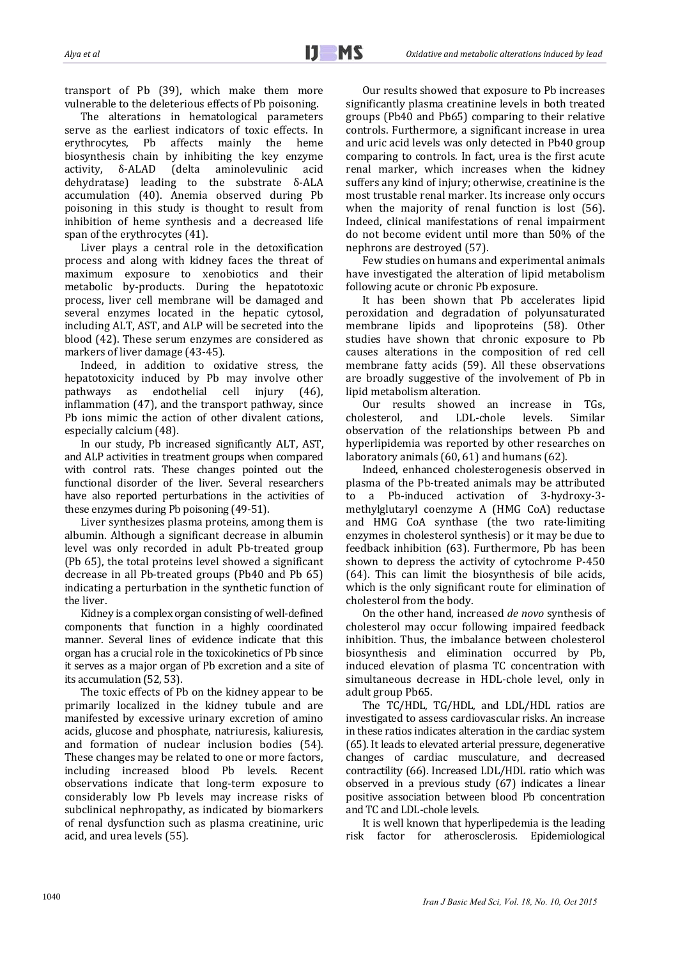transport of Pb  $(39)$ , which make them more vulnerable to the deleterious effects of Pb poisoning.

The alterations in hematological parameters serve as the earliest indicators of toxic effects. In erythrocytes, Pb affects mainly the heme biosynthesis chain by inhibiting the key enzyme activity, δ-ALAD (delta aminolevulinic acid dehydratase) leading to the substrate δ-ALA accumulation (40). Anemia observed during Pb poisoning in this study is thought to result from inhibition of heme synthesis and a decreased life span of the erythrocytes (41).

Liver plays a central role in the detoxification process and along with kidney faces the threat of maximum exposure to xenobiotics and their metabolic by-products. During the hepatotoxic process, liver cell membrane will be damaged and several enzymes located in the hepatic cytosol, including ALT, AST, and ALP will be secreted into the blood (42). These serum enzymes are considered as markers of liver damage (43-45).

Indeed, in addition to oxidative stress, the hepatotoxicity induced by Pb may involve other pathways as endothelial cell injury (46), inflammation  $(47)$ , and the transport pathway, since Pb ions mimic the action of other divalent cations, especially calcium (48).

In our study, Pb increased significantly ALT, AST, and ALP activities in treatment groups when compared with control rats. These changes pointed out the functional disorder of the liver. Several researchers have also reported perturbations in the activities of these enzymes during Pb poisoning (49-51).

Liver synthesizes plasma proteins, among them is albumin. Although a significant decrease in albumin level was only recorded in adult Pb-treated group (Pb 65), the total proteins level showed a significant decrease in all Pb-treated groups (Pb40 and Pb 65) indicating a perturbation in the synthetic function of the liver.

Kidney is a complex organ consisting of well-defined components that function in a highly coordinated manner. Several lines of evidence indicate that this organ has a crucial role in the toxicokinetics of Pb since it serves as a major organ of Pb excretion and a site of its accumulation (52, 53).

The toxic effects of Pb on the kidney appear to be primarily localized in the kidney tubule and are manifested by excessive urinary excretion of amino acids, glucose and phosphate, natriuresis, kaliuresis, and formation of nuclear inclusion bodies (54). These changes may be related to one or more factors, including increased blood Pb levels. Recent observations indicate that long-term exposure to considerably low Pb levels may increase risks of subclinical nephropathy, as indicated by biomarkers of renal dysfunction such as plasma creatinine, uric acid, and urea levels (55).

Our results showed that exposure to Pb increases significantly plasma creatinine levels in both treated groups (Pb40 and Pb65) comparing to their relative controls. Furthermore, a significant increase in urea and uric acid levels was only detected in Pb40 group comparing to controls. In fact, urea is the first acute renal marker, which increases when the kidney suffers any kind of injury; otherwise, creatinine is the most trustable renal marker. Its increase only occurs when the majority of renal function is lost  $(56)$ . Indeed, clinical manifestations of renal impairment do not become evident until more than 50% of the nephrons are destroyed (57).

Few studies on humans and experimental animals have investigated the alteration of lipid metabolism following acute or chronic Pb exposure.

It has been shown that Pb accelerates lipid peroxidation and degradation of polyunsaturated membrane lipids and lipoproteins (58). Other studies have shown that chronic exposure to Pb causes alterations in the composition of red cell membrane fatty acids (59). All these observations are broadly suggestive of the involvement of Pb in lipid metabolism alteration.

Our results showed an increase in TGs, cholesterol, and LDL‐chole levels. Similar observation of the relationships between Pb and hyperlipidemia was reported by other researches on laboratory animals (60, 61) and humans (62).

Indeed, enhanced cholesterogenesis observed in plasma of the Pb-treated animals may be attributed to a Pb-induced activation of 3-hydroxy-3methylglutaryl coenzyme A (HMG CoA) reductase and HMG CoA synthase (the two rate-limiting enzymes in cholesterol synthesis) or it may be due to feedback inhibition (63). Furthermore, Pb has been shown to depress the activity of cytochrome  $P-450$  $(64)$ . This can limit the biosynthesis of bile acids, which is the only significant route for elimination of cholesterol from the body.

On the other hand, increased *de novo* synthesis of cholesterol may occur following impaired feedback inhibition. Thus, the imbalance between cholesterol biosynthesis and elimination occurred by Pb, induced elevation of plasma TC concentration with simultaneous decrease in HDL-chole level, only in adult group Pb65.

The TC/HDL, TG/HDL, and LDL/HDL ratios are investigated to assess cardiovascular risks. An increase in these ratios indicates alteration in the cardiac system (65). It leads to elevated arterial pressure, degenerative changes of cardiac musculature, and decreased contractility (66). Increased LDL/HDL ratio which was observed in a previous study (67) indicates a linear positive association between blood Pb concentration and TC and LDL-chole levels.

It is well known that hyperlipedemia is the leading risk factor for atherosclerosis. Epidemiological 

*Iran J Basic Med Sci, Vol. 18, No. 10, Oct 2015* <sup>1040</sup>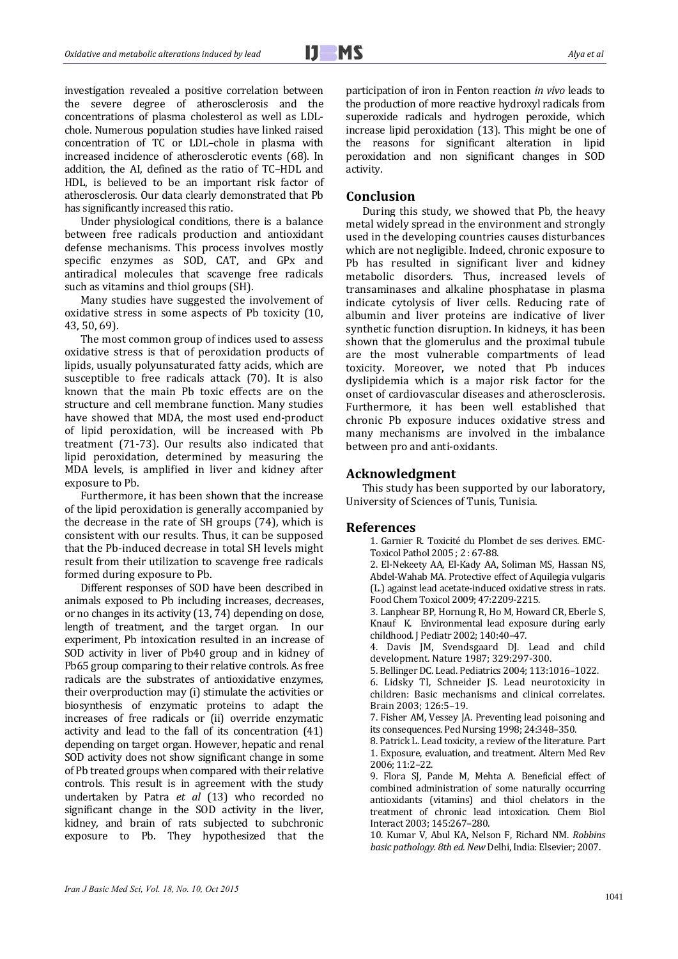investigation revealed a positive correlation between the severe degree of atherosclerosis and the concentrations of plasma cholesterol as well as LDLchole. Numerous population studies have linked raised concentration of TC or LDL-chole in plasma with increased incidence of atherosclerotic events (68). In addition, the AI, defined as the ratio of TC-HDL and HDL, is believed to be an important risk factor of atherosclerosis. Our data clearly demonstrated that Pb has significantly increased this ratio.

Under physiological conditions, there is a balance between free radicals production and antioxidant defense mechanisms. This process involves mostly specific enzymes as SOD, CAT, and GPx and antiradical molecules that scavenge free radicals such as vitamins and thiol groups (SH).

Many studies have suggested the involvement of oxidative stress in some aspects of Pb toxicity (10, 43, 50, 69). 

The most common group of indices used to assess oxidative stress is that of peroxidation products of lipids, usually polyunsaturated fatty acids, which are susceptible to free radicals attack  $(70)$ . It is also known that the main Pb toxic effects are on the structure and cell membrane function. Many studies have showed that MDA, the most used end-product of lipid peroxidation, will be increased with Pb treatment (71-73). Our results also indicated that lipid peroxidation, determined by measuring the MDA levels, is amplified in liver and kidney after exposure to Pb.

Furthermore, it has been shown that the increase of the lipid peroxidation is generally accompanied by the decrease in the rate of SH groups  $(74)$ , which is consistent with our results. Thus, it can be supposed that the Pb-induced decrease in total SH levels might result from their utilization to scavenge free radicals formed during exposure to Pb.

Different responses of SOD have been described in animals exposed to Pb including increases, decreases, or no changes in its activity (13, 74) depending on dose, length of treatment, and the target organ. In our experiment, Pb intoxication resulted in an increase of SOD activity in liver of Pb40 group and in kidney of Pb65 group comparing to their relative controls. As free radicals are the substrates of antioxidative enzymes, their overproduction may (i) stimulate the activities or biosynthesis of enzymatic proteins to adapt the increases of free radicals or (ii) override enzymatic activity and lead to the fall of its concentration (41) depending on target organ. However, hepatic and renal SOD activity does not show significant change in some of Pb treated groups when compared with their relative controls. This result is in agreement with the study undertaken by Patra *et al* (13) who recorded no significant change in the SOD activity in the liver, kidney, and brain of rats subjected to subchronic exposure to Pb. They hypothesized that the

participation of iron in Fenton reaction *in vivo* leads to the production of more reactive hydroxyl radicals from superoxide radicals and hydrogen peroxide, which increase lipid peroxidation (13). This might be one of the reasons for significant alteration in lipid peroxidation and non significant changes in SOD activity. 

## **Conclusion**

During this study, we showed that Pb, the heavy metal widely spread in the environment and strongly used in the developing countries causes disturbances which are not negligible. Indeed, chronic exposure to Pb has resulted in significant liver and kidney metabolic disorders. Thus, increased levels of transaminases and alkaline phosphatase in plasma indicate cytolysis of liver cells. Reducing rate of albumin and liver proteins are indicative of liver synthetic function disruption. In kidneys, it has been shown that the glomerulus and the proximal tubule are the most vulnerable compartments of lead toxicity. Moreover, we noted that Pb induces dyslipidemia which is a major risk factor for the onset of cardiovascular diseases and atherosclerosis. Furthermore, it has been well established that chronic Pb exposure induces oxidative stress and many mechanisms are involved in the imbalance between pro and anti-oxidants.

### **Acknowledgment**

This study has been supported by our laboratory, University of Sciences of Tunis, Tunisia.

#### **References**

1. Garnier R. Toxicité du Plombet de ses derives. EMC-Toxicol Pathol 2005 ; 2: 67-88.

2. El-Nekeety AA, El-Kady AA, Soliman MS, Hassan NS, Abdel-Wahab MA. Protective effect of Aquilegia vulgaris (L.) against lead acetate-induced oxidative stress in rats. Food Chem Toxicol 2009; 47:2209-2215.

3. Lanphear BP, Hornung R, Ho M, Howard CR, Eberle S, Knauf K. Environmental lead exposure during early childhood. J Pediatr 2002; 140:40-47.

4. Davis JM, Svendsgaard DJ. Lead and child development. Nature 1987; 329:297-300.

5. Bellinger DC. Lead. Pediatrics 2004; 113:1016-1022.

6. Lidsky TI, Schneider JS. Lead neurotoxicity in children: Basic mechanisms and clinical correlates. Brain 2003; 126:5–19. 

7. Fisher AM, Vessey JA. Preventing lead poisoning and its consequences. Ped Nursing 1998; 24:348-350.

8. Patrick L. Lead toxicity, a review of the literature. Part 1. Exposure, evaluation, and treatment. Altern Med Rev 2006; 11:2–22. 

9. Flora SJ, Pande M, Mehta A. Beneficial effect of combined administration of some naturally occurring antioxidants (vitamins) and thiol chelators in the treatment of chronic lead intoxication. Chem Biol Interact 2003; 145:267–280. 

10. Kumar V, Abul KA, Nelson F, Richard NM. *Robbins basic pathology. 8th ed. New* Delhi, India: Elsevier; 2007.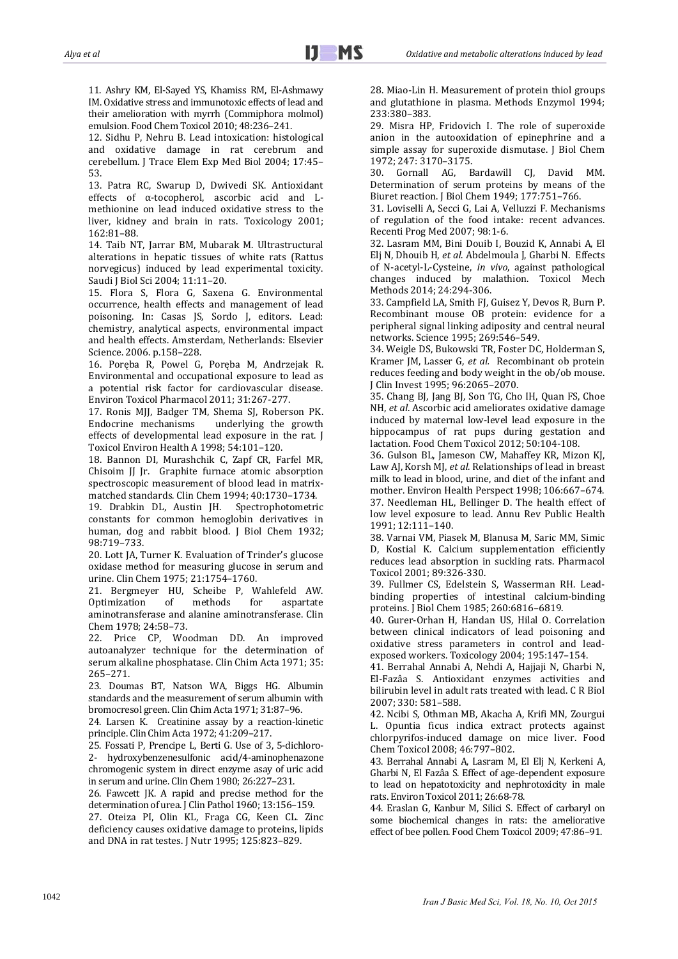11. Ashry KM, El-Sayed YS, Khamiss RM, El-Ashmawy IM. Oxidative stress and immunotoxic effects of lead and their amelioration with myrrh (Commiphora molmol) emulsion. Food Chem Toxicol 2010: 48:236-241.

12. Sidhu P. Nehru B. Lead intoxication: histological and oxidative damage in rat cerebrum and cerebellum. J Trace Elem Exp Med Biol 2004; 17:45-53. 

13. Patra RC, Swarup D, Dwivedi SK. Antioxidant effects of α-tocopherol, ascorbic acid and Lmethionine on lead induced oxidative stress to the liver, kidney and brain in rats. Toxicology 2001; 162:81–88. 

14. Taib NT, Jarrar BM, Mubarak M. Ultrastructural alterations in hepatic tissues of white rats (Rattus norvegicus) induced by lead experimental toxicity. Saudi J Biol Sci 2004; 11:11-20.

15. Flora S, Flora G, Saxena G. Environmental occurrence, health effects and management of lead poisoning. In: Casas JS, Sordo J, editors. Lead: chemistry, analytical aspects, environmental impact and health effects. Amsterdam, Netherlands: Elsevier Science. 2006. p.158-228.

16. Poręba R, Powel G, Poręba M, Andrzejak R. Environmental and occupational exposure to lead as a potential risk factor for cardiovascular disease. Environ Toxicol Pharmacol 2011: 31:267-277.

17. Ronis MJJ, Badger TM, Shema SJ, Roberson PK. Endocrine mechanisms underlying the growth effects of developmental lead exposure in the rat. I Toxicol Environ Health A 1998; 54:101-120.

18. Bannon DI, Murashchik C, Zapf CR, Farfel MR, Chisoim JJ Jr. Graphite furnace atomic absorption spectroscopic measurement of blood lead in matrixmatched standards. Clin Chem 1994; 40:1730-1734.

19. Drabkin DL, Austin JH. Spectrophotometric constants for common hemoglobin derivatives in human, dog and rabbit blood. I Biol Chem 1932; 98:719–733. 

20. Lott JA, Turner K. Evaluation of Trinder's glucose oxidase method for measuring glucose in serum and urine. Clin Chem 1975; 21:1754-1760.

21. Bergmeyer HU, Scheibe P, Wahlefeld AW. Optimization of methods for aspartate aminotransferase and alanine aminotransferase. Clin Chem 1978; 24:58-73.

22. Price CP, Woodman DD. An improved autoanalyzer technique for the determination of serum alkaline phosphatase. Clin Chim Acta 1971; 35: 265–271. 

23. Doumas BT, Natson WA, Biggs HG. Albumin standards and the measurement of serum albumin with bromocresol green. Clin Chim Acta 1971: 31:87-96.

24. Larsen K. Creatinine assay by a reaction-kinetic principle. Clin Chim Acta 1972; 41:209-217.

25. Fossati P, Prencipe L, Berti G. Use of 3, 5-dichloro-2‐ hydroxybenzenesulfonic acid/4‐aminophenazone chromogenic system in direct enzyme asay of uric acid in serum and urine. Clin Chem 1980; 26:227-231.

26. Fawcett JK. A rapid and precise method for the determination of urea. [ Clin Pathol 1960; 13:156-159.

27. Oteiza PI, Olin KL, Fraga CG, Keen CL. Zinc deficiency causes oxidative damage to proteins, lipids and DNA in rat testes. J Nutr 1995; 125:823-829.

28. Miao-Lin H. Measurement of protein thiol groups and glutathione in plasma. Methods Enzymol 1994; 233:380–383. 

29. Misra HP, Fridovich I. The role of superoxide anion in the autooxidation of epinephrine and a simple assay for superoxide dismutase. J Biol Chem 1972; 247: 3170–3175. 

30. Gornall AG, Bardawill CJ, David MM. Determination of serum proteins by means of the Biuret reaction. J Biol Chem 1949; 177:751-766.

31. Loviselli A, Secci G, Lai A, Velluzzi F. Mechanisms of regulation of the food intake: recent advances. Recenti Prog Med 2007; 98:1-6.

32. Lasram MM, Bini Douib I, Bouzid K, Annabi A, El Elj N, Dhouib H, et al. Abdelmoula J, Gharbi N. Effects of N‐acetyl‐L‐Cysteine, *in vivo*, against pathological changes induced by malathion. Toxicol Mech Methods 2014; 24:294-306.

33. Campfield LA, Smith FJ, Guisez Y, Devos R, Burn P. Recombinant mouse OB protein: evidence for a peripheral signal linking adiposity and central neural networks. Science 1995; 269:546-549.

34. Weigle DS, Bukowski TR, Foster DC, Holderman S, Kramer JM, Lasser G, *et al.* Recombinant ob protein reduces feeding and body weight in the ob/ob mouse. J Clin Invest 1995; 96:2065-2070.

35. Chang BI, Jang BI, Son TG, Cho IH, Ouan FS, Choe NH, *et al.* Ascorbic acid ameliorates oxidative damage induced by maternal low-level lead exposure in the hippocampus of rat pups during gestation and lactation. Food Chem Toxicol 2012; 50:104-108.

36. Gulson BL, Jameson CW, Mahaffey KR, Mizon KJ, Law AJ, Korsh MJ, *et al*. Relationships of lead in breast milk to lead in blood, urine, and diet of the infant and mother. Environ Health Perspect 1998; 106:667-674. 37. Needleman HL, Bellinger D. The health effect of low level exposure to lead. Annu Rev Public Health 1991; 12:111–140. 

38. Varnai VM, Piasek M, Blanusa M, Saric MM, Simic D, Kostial K. Calcium supplementation efficiently reduces lead absorption in suckling rats. Pharmacol Toxicol 2001; 89:326-330.

39. Fullmer CS, Edelstein S, Wasserman RH. Leadbinding properties of intestinal calcium-binding proteins. J Biol Chem 1985; 260:6816-6819.

40. Gurer-Orhan H, Handan US, Hilal O. Correlation between clinical indicators of lead poisoning and oxidative stress parameters in control and leadexposed workers. Toxicology 2004; 195:147-154.

41. Berrahal Annabi A, Nehdi A, Hajjaji N, Gharbi N, El-Fazâa S. Antioxidant enzymes activities and bilirubin level in adult rats treated with lead. C R Biol 2007; 330: 581-588.

42. Ncibi S, Othman MB, Akacha A, Krifi MN, Zourgui L. Opuntia ficus indica extract protects against chlorpyrifos‐induced damage on mice liver. Food Chem Toxicol 2008; 46:797–802. 

43. Berrahal Annabi A, Lasram M, El Eli N, Kerkeni A, Gharbi N, El Fazâa S. Effect of age-dependent exposure to lead on hepatotoxicity and nephrotoxicity in male rats. Environ Toxicol 2011; 26:68-78.

44. Eraslan G, Kanbur M, Silici S. Effect of carbaryl on some biochemical changes in rats: the ameliorative effect of bee pollen. Food Chem Toxicol 2009; 47:86-91.